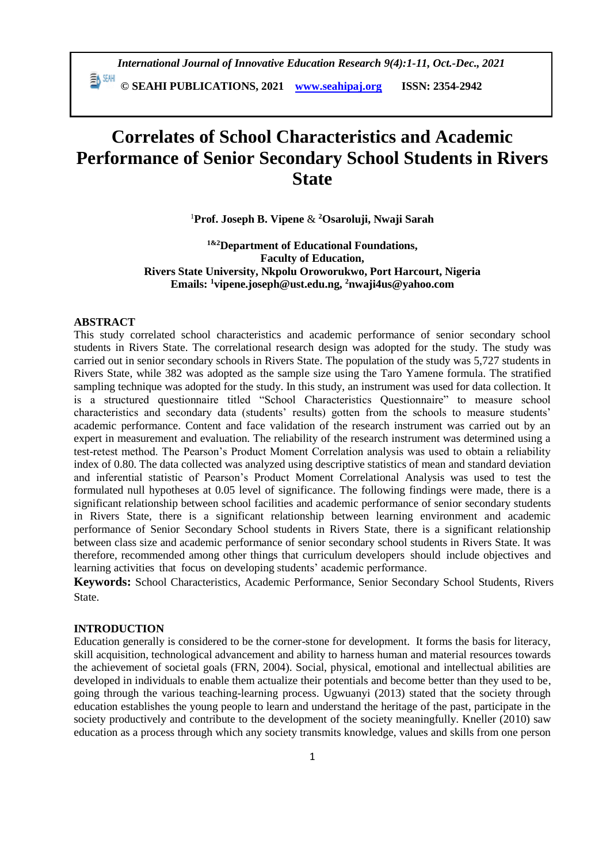**© SEAHI PUBLICATIONS, 2021 [www.seahipaj.org](http://www.seahipaj.org/) ISSN: 2354-2942**

# **Correlates of School Characteristics and Academic Performance of Senior Secondary School Students in Rivers State**

<sup>1</sup>**Prof. Joseph B. Vipene** & **<sup>2</sup>Osaroluji, Nwaji Sarah**

**1&2Department of Educational Foundations, Faculty of Education, Rivers State University, Nkpolu Oroworukwo, Port Harcourt, Nigeria Emails: <sup>1</sup>vipene.joseph@ust.edu.ng, <sup>2</sup>nwaji4us@yahoo.com**

## **ABSTRACT**

This study correlated school characteristics and academic performance of senior secondary school students in Rivers State. The correlational research design was adopted for the study. The study was carried out in senior secondary schools in Rivers State. The population of the study was 5,727 students in Rivers State, while 382 was adopted as the sample size using the Taro Yamene formula. The stratified sampling technique was adopted for the study. In this study, an instrument was used for data collection. It is a structured questionnaire titled "School Characteristics Questionnaire" to measure school characteristics and secondary data (students' results) gotten from the schools to measure students' academic performance. Content and face validation of the research instrument was carried out by an expert in measurement and evaluation. The reliability of the research instrument was determined using a test-retest method. The Pearson's Product Moment Correlation analysis was used to obtain a reliability index of 0.80. The data collected was analyzed using descriptive statistics of mean and standard deviation and inferential statistic of Pearson's Product Moment Correlational Analysis was used to test the formulated null hypotheses at 0.05 level of significance. The following findings were made, there is a significant relationship between school facilities and academic performance of senior secondary students in Rivers State, there is a significant relationship between learning environment and academic performance of Senior Secondary School students in Rivers State, there is a significant relationship between class size and academic performance of senior secondary school students in Rivers State. It was therefore, recommended among other things that curriculum developers should include objectives and learning activities that focus on developing students' academic performance.

**Keywords:** School Characteristics, Academic Performance, Senior Secondary School Students, Rivers State.

# **INTRODUCTION**

Education generally is considered to be the corner-stone for development. It forms the basis for literacy, skill acquisition, technological advancement and ability to harness human and material resources towards the achievement of societal goals (FRN, 2004). Social, physical, emotional and intellectual abilities are developed in individuals to enable them actualize their potentials and become better than they used to be, going through the various teaching-learning process. Ugwuanyi (2013) stated that the society through education establishes the young people to learn and understand the heritage of the past, participate in the society productively and contribute to the development of the society meaningfully. Kneller (2010) saw education as a process through which any society transmits knowledge, values and skills from one person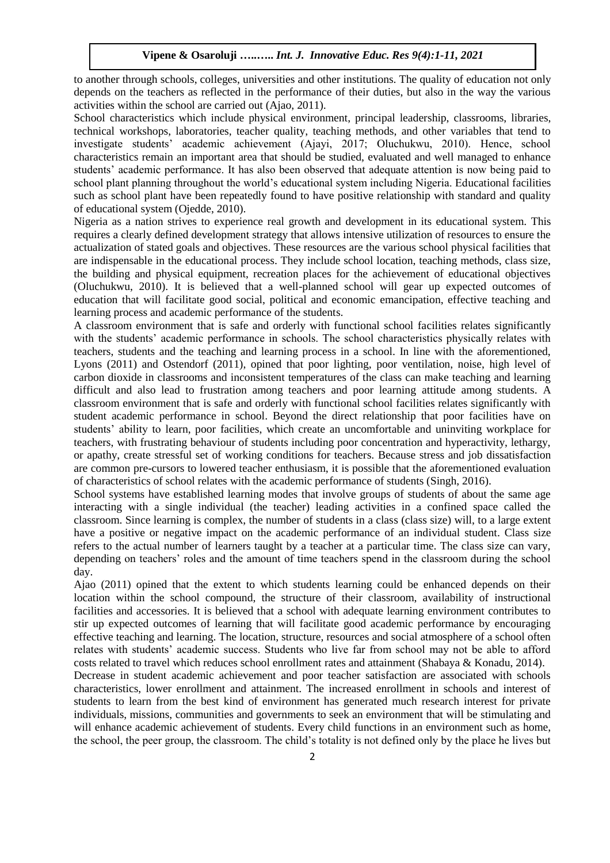to another through schools, colleges, universities and other institutions. The quality of education not only depends on the teachers as reflected in the performance of their duties, but also in the way the various activities within the school are carried out (Ajao, 2011).

School characteristics which include physical environment, principal leadership, classrooms, libraries, technical workshops, laboratories, teacher quality, teaching methods, and other variables that tend to investigate students' academic achievement (Ajayi, 2017; Oluchukwu, 2010). Hence, school characteristics remain an important area that should be studied, evaluated and well managed to enhance students' academic performance. It has also been observed that adequate attention is now being paid to school plant planning throughout the world's educational system including Nigeria. Educational facilities such as school plant have been repeatedly found to have positive relationship with standard and quality of educational system (Ojedde, 2010).

Nigeria as a nation strives to experience real growth and development in its educational system. This requires a clearly defined development strategy that allows intensive utilization of resources to ensure the actualization of stated goals and objectives. These resources are the various school physical facilities that are indispensable in the educational process. They include school location, teaching methods, class size, the building and physical equipment, recreation places for the achievement of educational objectives (Oluchukwu, 2010). It is believed that a well-planned school will gear up expected outcomes of education that will facilitate good social, political and economic emancipation, effective teaching and learning process and academic performance of the students.

A classroom environment that is safe and orderly with functional school facilities relates significantly with the students' academic performance in schools. The school characteristics physically relates with teachers, students and the teaching and learning process in a school. In line with the aforementioned, Lyons (2011) and Ostendorf (2011), opined that poor lighting, poor ventilation, noise, high level of carbon dioxide in classrooms and inconsistent temperatures of the class can make teaching and learning difficult and also lead to frustration among teachers and poor learning attitude among students. A classroom environment that is safe and orderly with functional school facilities relates significantly with student academic performance in school. Beyond the direct relationship that poor facilities have on students' ability to learn, poor facilities, which create an uncomfortable and uninviting workplace for teachers, with frustrating behaviour of students including poor concentration and hyperactivity, lethargy, or apathy, create stressful set of working conditions for teachers. Because stress and job dissatisfaction are common pre-cursors to lowered teacher enthusiasm, it is possible that the aforementioned evaluation of characteristics of school relates with the academic performance of students (Singh, 2016).

School systems have established learning modes that involve groups of students of about the same age interacting with a single individual (the teacher) leading activities in a confined space called the classroom. Since learning is complex, the number of students in a class (class size) will, to a large extent have a positive or negative impact on the academic performance of an individual student. Class size refers to the actual number of learners taught by a teacher at a particular time. The class size can vary, depending on teachers' roles and the amount of time teachers spend in the classroom during the school day.

Ajao (2011) opined that the extent to which students learning could be enhanced depends on their location within the school compound, the structure of their classroom, availability of instructional facilities and accessories. It is believed that a school with adequate learning environment contributes to stir up expected outcomes of learning that will facilitate good academic performance by encouraging effective teaching and learning. The location, structure, resources and social atmosphere of a school often relates with students' academic success. Students who live far from school may not be able to afford costs related to travel which reduces school enrollment rates and attainment (Shabaya & Konadu, 2014).

Decrease in student academic achievement and poor teacher satisfaction are associated with schools characteristics, lower enrollment and attainment. The increased enrollment in schools and interest of students to learn from the best kind of environment has generated much research interest for private individuals, missions, communities and governments to seek an environment that will be stimulating and will enhance academic achievement of students. Every child functions in an environment such as home, the school, the peer group, the classroom. The child's totality is not defined only by the place he lives but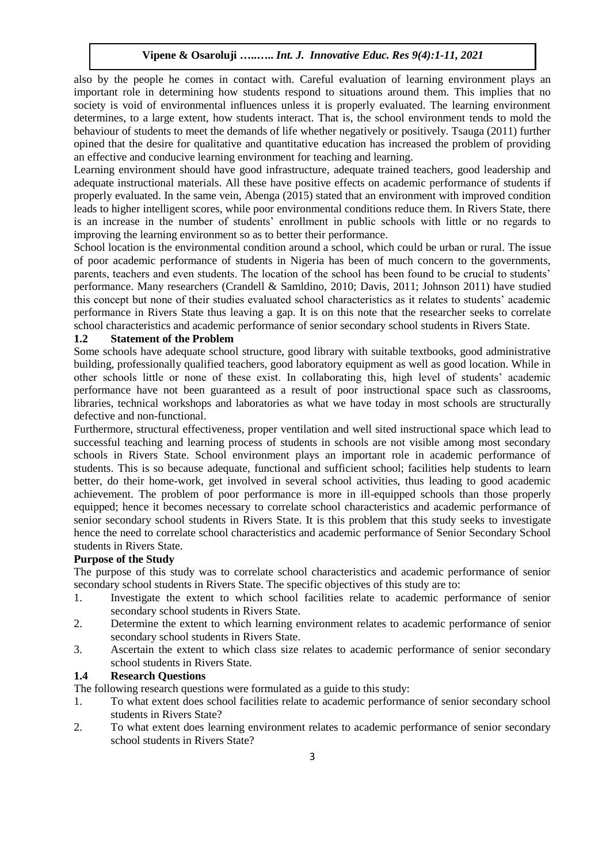also by the people he comes in contact with. Careful evaluation of learning environment plays an important role in determining how students respond to situations around them. This implies that no society is void of environmental influences unless it is properly evaluated. The learning environment determines, to a large extent, how students interact. That is, the school environment tends to mold the behaviour of students to meet the demands of life whether negatively or positively. Tsauga (2011) further opined that the desire for qualitative and quantitative education has increased the problem of providing an effective and conducive learning environment for teaching and learning.

Learning environment should have good infrastructure, adequate trained teachers, good leadership and adequate instructional materials. All these have positive effects on academic performance of students if properly evaluated. In the same vein, Abenga (2015) stated that an environment with improved condition leads to higher intelligent scores, while poor environmental conditions reduce them. In Rivers State, there is an increase in the number of students' enrollment in public schools with little or no regards to improving the learning environment so as to better their performance.

School location is the environmental condition around a school, which could be urban or rural. The issue of poor academic performance of students in Nigeria has been of much concern to the governments, parents, teachers and even students. The location of the school has been found to be crucial to students' performance. Many researchers (Crandell & Samldino, 2010; Davis, 2011; Johnson 2011) have studied this concept but none of their studies evaluated school characteristics as it relates to students' academic performance in Rivers State thus leaving a gap. It is on this note that the researcher seeks to correlate school characteristics and academic performance of senior secondary school students in Rivers State.

#### **1.2 Statement of the Problem**

Some schools have adequate school structure, good library with suitable textbooks, good administrative building, professionally qualified teachers, good laboratory equipment as well as good location. While in other schools little or none of these exist. In collaborating this, high level of students' academic performance have not been guaranteed as a result of poor instructional space such as classrooms, libraries, technical workshops and laboratories as what we have today in most schools are structurally defective and non-functional.

Furthermore, structural effectiveness, proper ventilation and well sited instructional space which lead to successful teaching and learning process of students in schools are not visible among most secondary schools in Rivers State. School environment plays an important role in academic performance of students. This is so because adequate, functional and sufficient school; facilities help students to learn better, do their home-work, get involved in several school activities, thus leading to good academic achievement. The problem of poor performance is more in ill-equipped schools than those properly equipped; hence it becomes necessary to correlate school characteristics and academic performance of senior secondary school students in Rivers State. It is this problem that this study seeks to investigate hence the need to correlate school characteristics and academic performance of Senior Secondary School students in Rivers State.

#### **Purpose of the Study**

The purpose of this study was to correlate school characteristics and academic performance of senior secondary school students in Rivers State. The specific objectives of this study are to:

- 1. Investigate the extent to which school facilities relate to academic performance of senior secondary school students in Rivers State.
- 2. Determine the extent to which learning environment relates to academic performance of senior secondary school students in Rivers State.
- 3. Ascertain the extent to which class size relates to academic performance of senior secondary school students in Rivers State.

#### **1.4 Research Questions**

The following research questions were formulated as a guide to this study:

- 1. To what extent does school facilities relate to academic performance of senior secondary school students in Rivers State?
- 2. To what extent does learning environment relates to academic performance of senior secondary school students in Rivers State?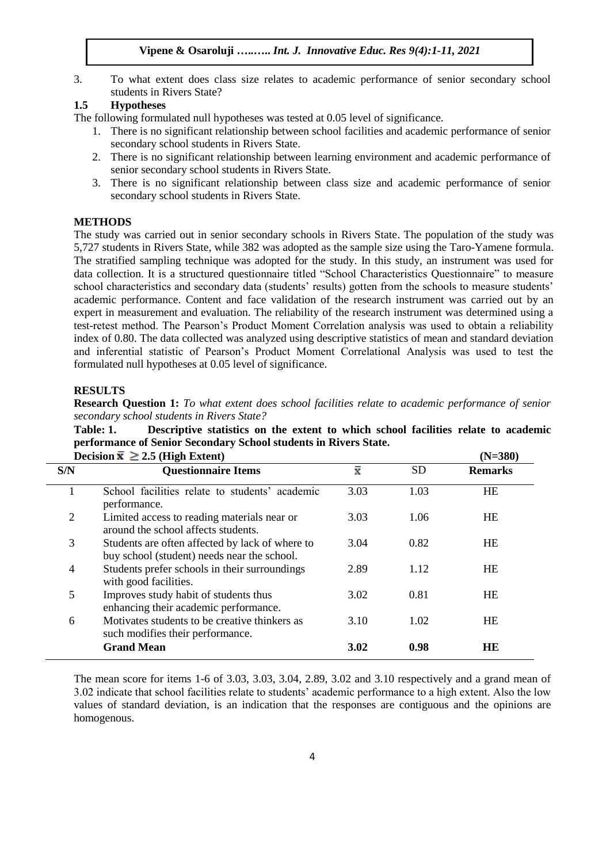3. To what extent does class size relates to academic performance of senior secondary school students in Rivers State?

## **1.5 Hypotheses**

The following formulated null hypotheses was tested at 0.05 level of significance.

- 1. There is no significant relationship between school facilities and academic performance of senior secondary school students in Rivers State.
- 2. There is no significant relationship between learning environment and academic performance of senior secondary school students in Rivers State.
- 3. There is no significant relationship between class size and academic performance of senior secondary school students in Rivers State.

# **METHODS**

The study was carried out in senior secondary schools in Rivers State. The population of the study was 5,727 students in Rivers State, while 382 was adopted as the sample size using the Taro-Yamene formula. The stratified sampling technique was adopted for the study. In this study, an instrument was used for data collection. It is a structured questionnaire titled "School Characteristics Questionnaire" to measure school characteristics and secondary data (students' results) gotten from the schools to measure students' academic performance. Content and face validation of the research instrument was carried out by an expert in measurement and evaluation. The reliability of the research instrument was determined using a test-retest method. The Pearson's Product Moment Correlation analysis was used to obtain a reliability index of 0.80. The data collected was analyzed using descriptive statistics of mean and standard deviation and inferential statistic of Pearson's Product Moment Correlational Analysis was used to test the formulated null hypotheses at 0.05 level of significance.

#### **RESULTS**

**Research Question 1:** *To what extent does school facilities relate to academic performance of senior secondary school students in Rivers State?*

**Table: 1. Descriptive statistics on the extent to which school facilities relate to academic performance of Senior Secondary School students in Rivers State.**  $\text{Decision } \bar{x} > 2.5 \text{ (High Extend)}$  (N=380)

|     | Decision $\triangle \angle 2.5$ (right extent)                                                 |                    |           | (11=J0U)       |
|-----|------------------------------------------------------------------------------------------------|--------------------|-----------|----------------|
| S/N | <b>Questionnaire Items</b>                                                                     | $\bar{\mathbf{x}}$ | <b>SD</b> | <b>Remarks</b> |
|     | School facilities relate to students' academic<br>performance.                                 | 3.03               | 1.03      | HE             |
| 2   | Limited access to reading materials near or<br>around the school affects students.             | 3.03               | 1.06      | HE             |
| 3   | Students are often affected by lack of where to<br>buy school (student) needs near the school. | 3.04               | 0.82      | HE             |
| 4   | Students prefer schools in their surroundings<br>with good facilities.                         | 2.89               | 1.12      | <b>HE</b>      |
| 5   | Improves study habit of students thus<br>enhancing their academic performance.                 | 3.02               | 0.81      | HE             |
| 6   | Motivates students to be creative thinkers as<br>such modifies their performance.              | 3.10               | 1.02      | <b>HE</b>      |
|     | <b>Grand Mean</b>                                                                              | 3.02               | 0.98      | HE             |

The mean score for items 1-6 of 3.03, 3.03, 3.04, 2.89, 3.02 and 3.10 respectively and a grand mean of 3.02 indicate that school facilities relate to students' academic performance to a high extent. Also the low values of standard deviation, is an indication that the responses are contiguous and the opinions are homogenous.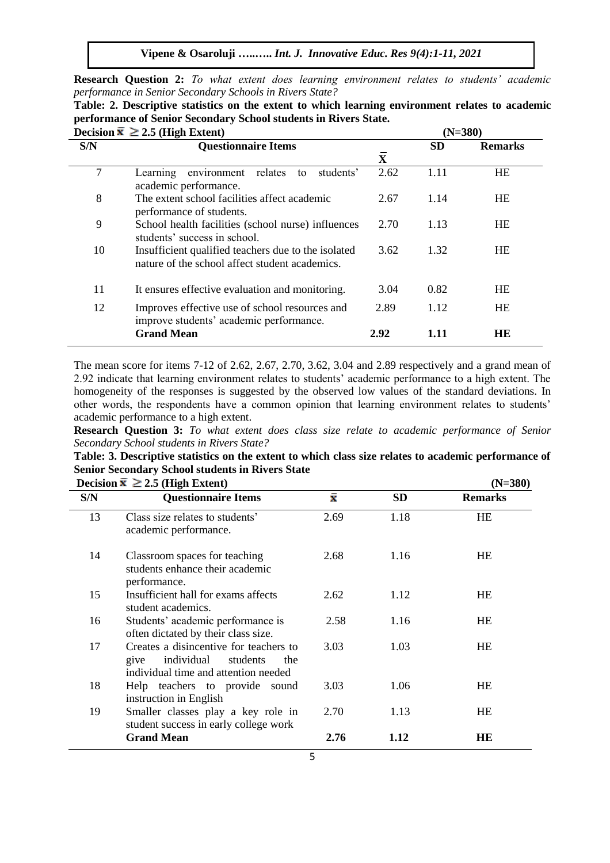**Vipene & Osaroluji …..…..** *Int. J. Innovative Educ. Res 9(4):1-11, 2021*

**Research Question 2:** *To what extent does learning environment relates to students' academic performance in Senior Secondary Schools in Rivers State?*

| Table: 2. Descriptive statistics on the extent to which learning environment relates to academic |  |
|--------------------------------------------------------------------------------------------------|--|
| performance of Senior Secondary School students in Rivers State.                                 |  |

|     | Decision $\bar{x} \ge 2.5$ (High Extent)                                                              |              | $(N=380)$ |                |  |  |
|-----|-------------------------------------------------------------------------------------------------------|--------------|-----------|----------------|--|--|
| S/N | <b>Questionnaire Items</b>                                                                            | $\mathbf{X}$ | <b>SD</b> | <b>Remarks</b> |  |  |
| 7   | students'<br>relates<br>Learning<br>environment<br>to<br>academic performance.                        | 2.62         | 1.11      | HE             |  |  |
| 8   | The extent school facilities affect academic<br>performance of students.                              | 2.67         | 1.14      | <b>HE</b>      |  |  |
| 9   | School health facilities (school nurse) influences<br>students' success in school.                    | 2.70         | 1.13      | <b>HE</b>      |  |  |
| 10  | Insufficient qualified teachers due to the isolated<br>nature of the school affect student academics. | 3.62         | 1.32      | <b>HE</b>      |  |  |
| 11  | It ensures effective evaluation and monitoring.                                                       | 3.04         | 0.82      | <b>HE</b>      |  |  |
| 12  | Improves effective use of school resources and<br>improve students' academic performance.             | 2.89         | 1.12      | <b>HE</b>      |  |  |
|     | <b>Grand Mean</b>                                                                                     | 2.92         | 1.11      | HE             |  |  |

The mean score for items 7-12 of 2.62, 2.67, 2.70, 3.62, 3.04 and 2.89 respectively and a grand mean of 2.92 indicate that learning environment relates to students' academic performance to a high extent. The homogeneity of the responses is suggested by the observed low values of the standard deviations. In other words, the respondents have a common opinion that learning environment relates to students' academic performance to a high extent.

**Research Question 3:** *To what extent does class size relate to academic performance of Senior Secondary School students in Rivers State?*

**Table: 3. Descriptive statistics on the extent to which class size relates to academic performance of Senior Secondary School students in Rivers State**

| Decision $\bar{x} \ge 2.5$ (High Extent) | $(N=380)$                                                                                                            |                    |           |                |
|------------------------------------------|----------------------------------------------------------------------------------------------------------------------|--------------------|-----------|----------------|
| S/N                                      | <b>Questionnaire Items</b>                                                                                           | $\bar{\mathbf{x}}$ | <b>SD</b> | <b>Remarks</b> |
| 13                                       | Class size relates to students'<br>academic performance.                                                             | 2.69               | 1.18      | HE             |
| 14                                       | Classroom spaces for teaching<br>students enhance their academic<br>performance.                                     | 2.68               | 1.16      | <b>HE</b>      |
| 15                                       | Insufficient hall for exams affects<br>student academics.                                                            | 2.62               | 1.12      | HE             |
| 16                                       | Students' academic performance is<br>often dictated by their class size.                                             | 2.58               | 1.16      | HE             |
| 17                                       | Creates a disincentive for teachers to<br>individual students<br>give<br>the<br>individual time and attention needed | 3.03               | 1.03      | HE             |
| 18                                       | Help teachers to provide sound<br>instruction in English                                                             | 3.03               | 1.06      | HE             |
| 19                                       | Smaller classes play a key role in<br>student success in early college work                                          | 2.70               | 1.13      | HE             |
|                                          | <b>Grand Mean</b>                                                                                                    | 2.76               | 1.12      | HE             |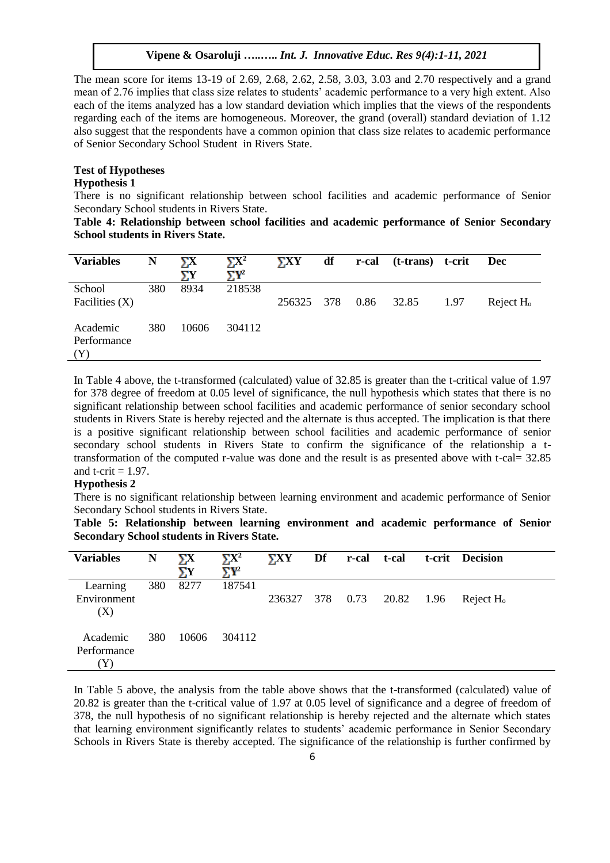The mean score for items 13-19 of 2.69, 2.68, 2.62, 2.58, 3.03, 3.03 and 2.70 respectively and a grand mean of 2.76 implies that class size relates to students' academic performance to a very high extent. Also each of the items analyzed has a low standard deviation which implies that the views of the respondents regarding each of the items are homogeneous. Moreover, the grand (overall) standard deviation of 1.12 also suggest that the respondents have a common opinion that class size relates to academic performance of Senior Secondary School Student in Rivers State.

## **Test of Hypotheses**

## **Hypothesis 1**

There is no significant relationship between school facilities and academic performance of Senior Secondary School students in Rivers State.

**Table 4: Relationship between school facilities and academic performance of Senior Secondary School students in Rivers State.**

| <b>Variables</b>               | N   | ΣХ<br>УY | $\Sigma X^2$<br>$\Sigma Y^2$ | $\boldsymbol{\Sigma}$ $\boldsymbol{X}\boldsymbol{Y}$ | df  | r-cal | (t-trans) t-crit |      | <b>Dec</b>   |
|--------------------------------|-----|----------|------------------------------|------------------------------------------------------|-----|-------|------------------|------|--------------|
| School<br>Facilities $(X)$     | 380 | 8934     | 218538                       | 256325                                               | 378 | 0.86  | 32.85            | 1.97 | Reject $H_0$ |
| Academic<br>Performance<br>(Y) | 380 | 10606    | 304112                       |                                                      |     |       |                  |      |              |

In Table 4 above, the t-transformed (calculated) value of 32.85 is greater than the t-critical value of 1.97 for 378 degree of freedom at 0.05 level of significance, the null hypothesis which states that there is no significant relationship between school facilities and academic performance of senior secondary school students in Rivers State is hereby rejected and the alternate is thus accepted. The implication is that there is a positive significant relationship between school facilities and academic performance of senior secondary school students in Rivers State to confirm the significance of the relationship a ttransformation of the computed r-value was done and the result is as presented above with t-cal= 32.85 and t-crit  $= 1.97$ .

#### **Hypothesis 2**

There is no significant relationship between learning environment and academic performance of Senior Secondary School students in Rivers State.

**Table 5: Relationship between learning environment and academic performance of Senior Secondary School students in Rivers State.**

| <b>Variables</b>               | N   | ΣХ<br>ΣΥ | $\Sigma X^2$<br>$\Sigma Y^2$ | $\boldsymbol{\Sigma}$ $\boldsymbol{X}\boldsymbol{Y}$ | Df  | r-cal | t-cal      | t-crit Decision |
|--------------------------------|-----|----------|------------------------------|------------------------------------------------------|-----|-------|------------|-----------------|
| Learning<br>Environment<br>(X) | 380 | 8277     | 187541                       | 236327                                               | 378 | 0.73  | 20.82 1.96 | Reject $Ho$     |
| Academic<br>Performance        | 380 | 10606    | 304112                       |                                                      |     |       |            |                 |

In Table 5 above, the analysis from the table above shows that the t-transformed (calculated) value of 20.82 is greater than the t-critical value of 1.97 at 0.05 level of significance and a degree of freedom of 378, the null hypothesis of no significant relationship is hereby rejected and the alternate which states that learning environment significantly relates to students' academic performance in Senior Secondary Schools in Rivers State is thereby accepted. The significance of the relationship is further confirmed by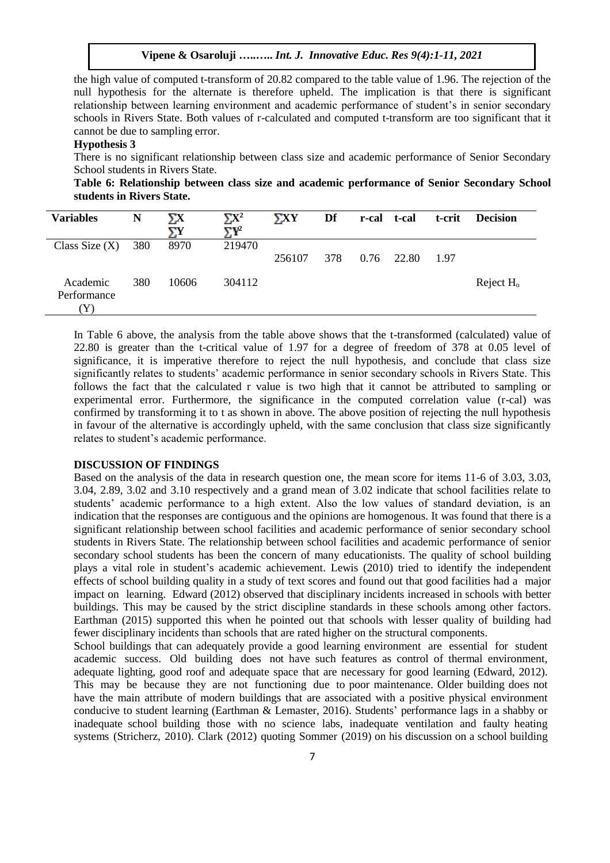the high value of computed t-transform of 20.82 compared to the table value of 1.96. The rejection of the null hypothesis for the alternate is therefore upheld. The implication is that there is significant relationship between learning environment and academic performance of student's in senior secondary schools in Rivers State. Both values of r-calculated and computed t-transform are too significant that it cannot be due to sampling error.

## **Hypothesis 3**

There is no significant relationship between class size and academic performance of Senior Secondary School students in Rivers State.

**Table 6: Relationship between class size and academic performance of Senior Secondary School students in Rivers State.**

| <b>Variables</b>               | N   | ΣХ<br>ΣΥ | $\Sigma X^2$<br>$\nabla$ Y <sup>2</sup> | $\boldsymbol{\Sigma}$ XY | Df  | r-cal t-cal  | t-crit | <b>Decision</b> |
|--------------------------------|-----|----------|-----------------------------------------|--------------------------|-----|--------------|--------|-----------------|
| Class Size $(X)$               | 380 | 8970     | 219470                                  | 256107                   | 378 | $0.76$ 22.80 | 1.97   |                 |
| Academic<br>Performance<br>(Y) | 380 | 10606    | 304112                                  |                          |     |              |        | Reject $Ho$     |

In Table 6 above, the analysis from the table above shows that the t-transformed (calculated) value of 22.80 is greater than the t-critical value of 1.97 for a degree of freedom of 378 at 0.05 level of significance, it is imperative therefore to reject the null hypothesis, and conclude that class size significantly relates to students' academic performance in senior secondary schools in Rivers State. This follows the fact that the calculated r value is two high that it cannot be attributed to sampling or experimental error. Furthermore, the significance in the computed correlation value (r-cal) was confirmed by transforming it to t as shown in above. The above position of rejecting the null hypothesis in favour of the alternative is accordingly upheld, with the same conclusion that class size significantly relates to student's academic performance.

## **DISCUSSION OF FINDINGS**

Based on the analysis of the data in research question one, the mean score for items 11-6 of 3.03, 3.03, 3.04, 2.89, 3.02 and 3.10 respectively and a grand mean of 3.02 indicate that school facilities relate to students' academic performance to a high extent. Also the low values of standard deviation, is an indication that the responses are contiguous and the opinions are homogenous. It was found that there is a significant relationship between school facilities and academic performance of senior secondary school students in Rivers State. The relationship between school facilities and academic performance of senior secondary school students has been the concern of many educationists. The quality of school building plays a vital role in student's academic achievement. Lewis (2010) tried to identify the independent effects of school building quality in a study of text scores and found out that good facilities had a major impact on learning. Edward (2012) observed that disciplinary incidents increased in schools with better buildings. This may be caused by the strict discipline standards in these schools among other factors. Earthman (2015) supported this when he pointed out that schools with lesser quality of building had fewer disciplinary incidents than schools that are rated higher on the structural components.

School buildings that can adequately provide a good learning environment are essential for student academic success. Old building does not have such features as control of thermal environment, adequate lighting, good roof and adequate space that are necessary for good learning (Edward, 2012). This may be because they are not functioning due to poor maintenance. Older building does not have the main attribute of modern buildings that are associated with a positive physical environment conducive to student learning (Earthman & Lemaster, 2016). Students' performance lags in a shabby or inadequate school building those with no science labs, inadequate ventilation and faulty heating systems (Stricherz, 2010). Clark (2012) quoting Sommer (2019) on his discussion on a school building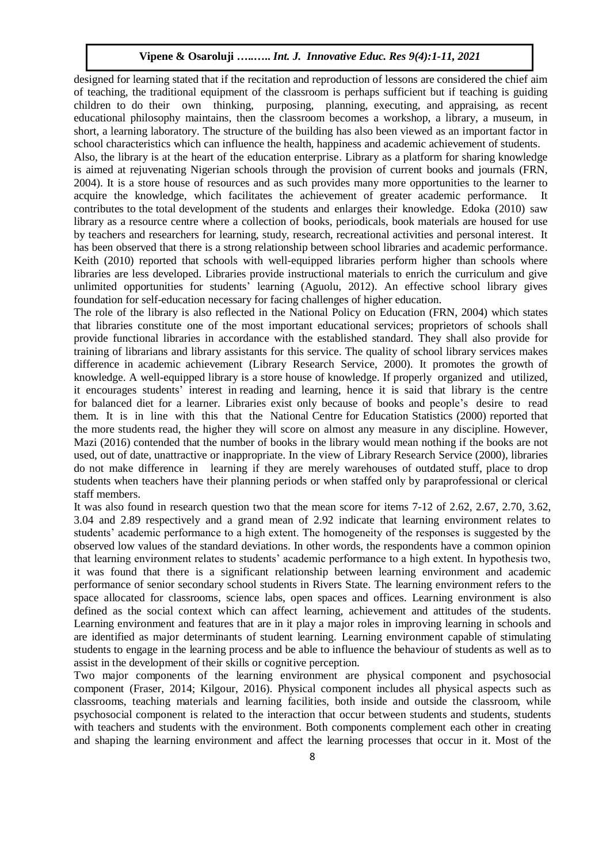designed for learning stated that if the recitation and reproduction of lessons are considered the chief aim of teaching, the traditional equipment of the classroom is perhaps sufficient but if teaching is guiding children to do their own thinking, purposing, planning, executing, and appraising, as recent educational philosophy maintains, then the classroom becomes a workshop, a library, a museum, in short, a learning laboratory. The structure of the building has also been viewed as an important factor in school characteristics which can influence the health, happiness and academic achievement of students.

Also, the library is at the heart of the education enterprise. Library as a platform for sharing knowledge is aimed at rejuvenating Nigerian schools through the provision of current books and journals (FRN, 2004). It is a store house of resources and as such provides many more opportunities to the learner to acquire the knowledge, which facilitates the achievement of greater academic performance. It contributes to the total development of the students and enlarges their knowledge. Edoka (2010) saw library as a resource centre where a collection of books, periodicals, book materials are housed for use by teachers and researchers for learning, study, research, recreational activities and personal interest. It has been observed that there is a strong relationship between school libraries and academic performance. Keith (2010) reported that schools with well-equipped libraries perform higher than schools where libraries are less developed. Libraries provide instructional materials to enrich the curriculum and give unlimited opportunities for students' learning (Aguolu, 2012). An effective school library gives foundation for self-education necessary for facing challenges of higher education.

The role of the library is also reflected in the National Policy on Education (FRN, 2004) which states that libraries constitute one of the most important educational services; proprietors of schools shall provide functional libraries in accordance with the established standard. They shall also provide for training of librarians and library assistants for this service. The quality of school library services makes difference in academic achievement (Library Research Service, 2000). It promotes the growth of knowledge. A well-equipped library is a store house of knowledge. If properly organized and utilized, it encourages students' interest in reading and learning, hence it is said that library is the centre for balanced diet for a learner. Libraries exist only because of books and people's desire to read them. It is in line with this that the National Centre for Education Statistics (2000) reported that the more students read, the higher they will score on almost any measure in any discipline. However, Mazi (2016) contended that the number of books in the library would mean nothing if the books are not used, out of date, unattractive or inappropriate. In the view of Library Research Service (2000), libraries do not make difference in learning if they are merely warehouses of outdated stuff, place to drop students when teachers have their planning periods or when staffed only by paraprofessional or clerical staff members.

It was also found in research question two that the mean score for items 7-12 of 2.62, 2.67, 2.70, 3.62, 3.04 and 2.89 respectively and a grand mean of 2.92 indicate that learning environment relates to students' academic performance to a high extent. The homogeneity of the responses is suggested by the observed low values of the standard deviations. In other words, the respondents have a common opinion that learning environment relates to students' academic performance to a high extent. In hypothesis two, it was found that there is a significant relationship between learning environment and academic performance of senior secondary school students in Rivers State. The learning environment refers to the space allocated for classrooms, science labs, open spaces and offices. Learning environment is also defined as the social context which can affect learning, achievement and attitudes of the students. Learning environment and features that are in it play a major roles in improving learning in schools and are identified as major determinants of student learning. Learning environment capable of stimulating students to engage in the learning process and be able to influence the behaviour of students as well as to assist in the development of their skills or cognitive perception.

Two major components of the learning environment are physical component and psychosocial component (Fraser, 2014; Kilgour, 2016). Physical component includes all physical aspects such as classrooms, teaching materials and learning facilities, both inside and outside the classroom, while psychosocial component is related to the interaction that occur between students and students, students with teachers and students with the environment. Both components complement each other in creating and shaping the learning environment and affect the learning processes that occur in it. Most of the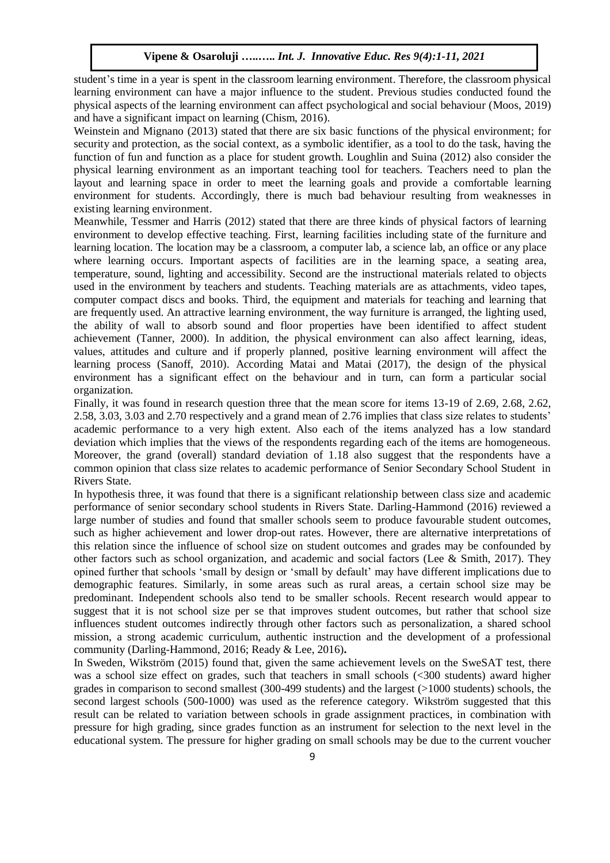student's time in a year is spent in the classroom learning environment. Therefore, the classroom physical learning environment can have a major influence to the student. Previous studies conducted found the physical aspects of the learning environment can affect psychological and social behaviour (Moos, 2019) and have a significant impact on learning (Chism, 2016).

Weinstein and Mignano (2013) stated that there are six basic functions of the physical environment; for security and protection, as the social context, as a symbolic identifier, as a tool to do the task, having the function of fun and function as a place for student growth. Loughlin and Suina (2012) also consider the physical learning environment as an important teaching tool for teachers. Teachers need to plan the layout and learning space in order to meet the learning goals and provide a comfortable learning environment for students. Accordingly, there is much bad behaviour resulting from weaknesses in existing learning environment.

Meanwhile, Tessmer and Harris (2012) stated that there are three kinds of physical factors of learning environment to develop effective teaching. First, learning facilities including state of the furniture and learning location. The location may be a classroom, a computer lab, a science lab, an office or any place where learning occurs. Important aspects of facilities are in the learning space, a seating area, temperature, sound, lighting and accessibility. Second are the instructional materials related to objects used in the environment by teachers and students. Teaching materials are as attachments, video tapes, computer compact discs and books. Third, the equipment and materials for teaching and learning that are frequently used. An attractive learning environment, the way furniture is arranged, the lighting used, the ability of wall to absorb sound and floor properties have been identified to affect student achievement (Tanner, 2000). In addition, the physical environment can also affect learning, ideas, values, attitudes and culture and if properly planned, positive learning environment will affect the learning process (Sanoff, 2010). According Matai and Matai (2017), the design of the physical environment has a significant effect on the behaviour and in turn, can form a particular social organization.

Finally, it was found in research question three that the mean score for items 13-19 of 2.69, 2.68, 2.62, 2.58, 3.03, 3.03 and 2.70 respectively and a grand mean of 2.76 implies that class size relates to students' academic performance to a very high extent. Also each of the items analyzed has a low standard deviation which implies that the views of the respondents regarding each of the items are homogeneous. Moreover, the grand (overall) standard deviation of 1.18 also suggest that the respondents have a common opinion that class size relates to academic performance of Senior Secondary School Student in Rivers State.

In hypothesis three, it was found that there is a significant relationship between class size and academic performance of senior secondary school students in Rivers State. Darling-Hammond (2016) reviewed a large number of studies and found that smaller schools seem to produce favourable student outcomes, such as higher achievement and lower drop-out rates. However, there are alternative interpretations of this relation since the influence of school size on student outcomes and grades may be confounded by other factors such as school organization, and academic and social factors (Lee & Smith, 2017). They opined further that schools 'small by design or 'small by default' may have different implications due to demographic features. Similarly, in some areas such as rural areas, a certain school size may be predominant. Independent schools also tend to be smaller schools. Recent research would appear to suggest that it is not school size per se that improves student outcomes, but rather that school size influences student outcomes indirectly through other factors such as personalization, a shared school mission, a strong academic curriculum, authentic instruction and the development of a professional community (Darling-Hammond, 2016; Ready & Lee, 2016)**.**

In Sweden, Wikström (2015) found that, given the same achievement levels on the SweSAT test, there was a school size effect on grades, such that teachers in small schools (<300 students) award higher grades in comparison to second smallest (300-499 students) and the largest (>1000 students) schools, the second largest schools (500-1000) was used as the reference category. Wikström suggested that this result can be related to variation between schools in grade assignment practices, in combination with pressure for high grading, since grades function as an instrument for selection to the next level in the educational system. The pressure for higher grading on small schools may be due to the current voucher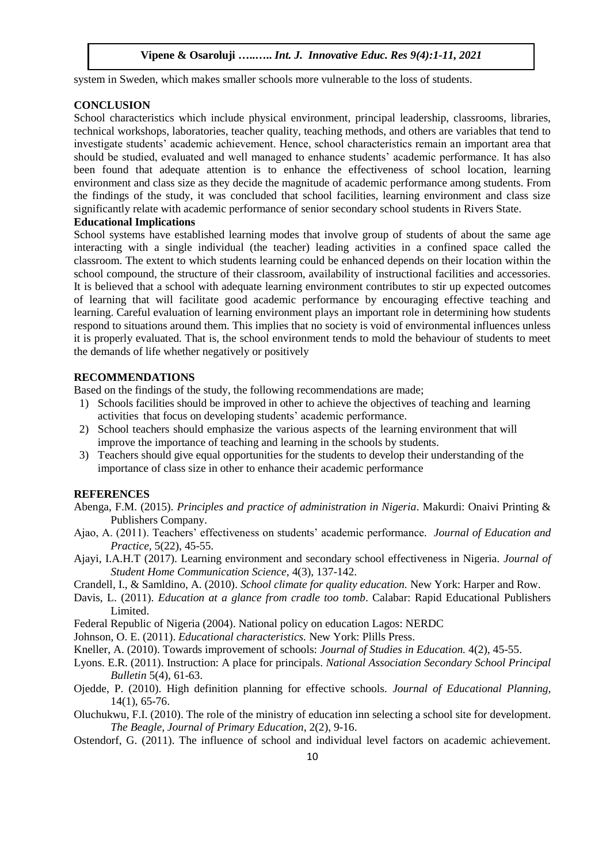system in Sweden, which makes smaller schools more vulnerable to the loss of students.

## **CONCLUSION**

School characteristics which include physical environment, principal leadership, classrooms, libraries, technical workshops, laboratories, teacher quality, teaching methods, and others are variables that tend to investigate students' academic achievement. Hence, school characteristics remain an important area that should be studied, evaluated and well managed to enhance students' academic performance. It has also been found that adequate attention is to enhance the effectiveness of school location, learning environment and class size as they decide the magnitude of academic performance among students. From the findings of the study, it was concluded that school facilities, learning environment and class size significantly relate with academic performance of senior secondary school students in Rivers State.

#### **Educational Implications**

School systems have established learning modes that involve group of students of about the same age interacting with a single individual (the teacher) leading activities in a confined space called the classroom. The extent to which students learning could be enhanced depends on their location within the school compound, the structure of their classroom, availability of instructional facilities and accessories. It is believed that a school with adequate learning environment contributes to stir up expected outcomes of learning that will facilitate good academic performance by encouraging effective teaching and learning. Careful evaluation of learning environment plays an important role in determining how students respond to situations around them. This implies that no society is void of environmental influences unless it is properly evaluated. That is, the school environment tends to mold the behaviour of students to meet the demands of life whether negatively or positively

## **RECOMMENDATIONS**

Based on the findings of the study, the following recommendations are made;

- 1) Schools facilities should be improved in other to achieve the objectives of teaching and learning activities that focus on developing students' academic performance.
- 2) School teachers should emphasize the various aspects of the learning environment that will improve the importance of teaching and learning in the schools by students.
- 3) Teachers should give equal opportunities for the students to develop their understanding of the importance of class size in other to enhance their academic performance

#### **REFERENCES**

- Abenga, F.M. (2015). *Principles and practice of administration in Nigeria*. Makurdi: Onaivi Printing & Publishers Company.
- Ajao, A. (2011). Teachers' effectiveness on students' academic performance*. Journal of Education and Practice,* 5(22), 45-55.
- Ajayi, I.A.H.T (2017). Learning environment and secondary school effectiveness in Nigeria. *Journal of Student Home Communication Science,* 4(3), 137-142.
- Crandell, I., & Samldino, A. (2010). *School climate for quality education.* New York: Harper and Row.
- Davis, L. (2011). *Education at a glance from cradle too tomb*. Calabar: Rapid Educational Publishers Limited.
- Federal Republic of Nigeria (2004). National policy on education Lagos: NERDC
- Johnson, O. E. (2011). *Educational characteristics.* New York: Plills Press.
- Kneller, A. (2010). Towards improvement of schools: *Journal of Studies in Education.* 4(2), 45-55.
- Lyons. E.R. (2011). Instruction: A place for principals. *National Association Secondary School Principal Bulletin* 5(4), 61-63.
- Ojedde, P. (2010). High definition planning for effective schools. *Journal of Educational Planning,*  14(1), 65-76.
- Oluchukwu, F.I. (2010). The role of the ministry of education inn selecting a school site for development. *The Beagle, Journal of Primary Education*, 2(2), 9-16.
- Ostendorf, G. (2011). The influence of school and individual level factors on academic achievement.